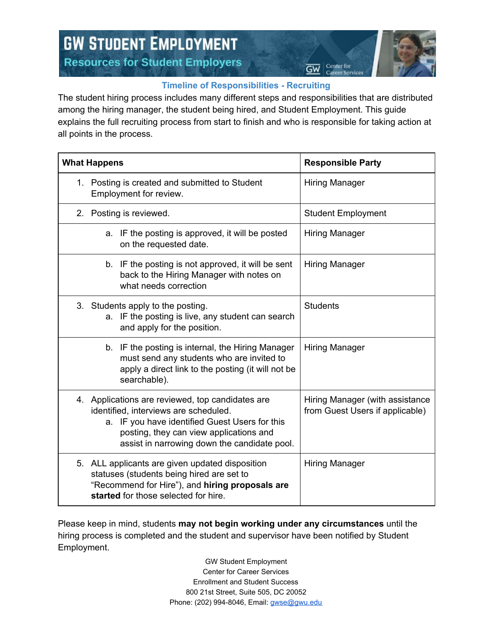## **GW STUDENT EMPLOYMENT Resources for Student Employers**



Center for

Career Service

ଙ୍କ

## **Timeline of Responsibilities - Recruiting**

The student hiring process includes many different steps and responsibilities that are distributed among the hiring manager, the student being hired, and Student Employment. This guide explains the full recruiting process from start to finish and who is responsible for taking action at all points in the process.

| <b>What Happens</b>                                                                                                                                                                                                                    | <b>Responsible Party</b>                                           |
|----------------------------------------------------------------------------------------------------------------------------------------------------------------------------------------------------------------------------------------|--------------------------------------------------------------------|
| 1. Posting is created and submitted to Student<br>Employment for review.                                                                                                                                                               | <b>Hiring Manager</b>                                              |
| 2. Posting is reviewed.                                                                                                                                                                                                                | <b>Student Employment</b>                                          |
| a. IF the posting is approved, it will be posted<br>on the requested date.                                                                                                                                                             | <b>Hiring Manager</b>                                              |
| IF the posting is not approved, it will be sent<br>b.<br>back to the Hiring Manager with notes on<br>what needs correction                                                                                                             | <b>Hiring Manager</b>                                              |
| 3. Students apply to the posting.<br>a. IF the posting is live, any student can search<br>and apply for the position.                                                                                                                  | <b>Students</b>                                                    |
| b. IF the posting is internal, the Hiring Manager<br>must send any students who are invited to<br>apply a direct link to the posting (it will not be<br>searchable).                                                                   | Hiring Manager                                                     |
| 4. Applications are reviewed, top candidates are<br>identified, interviews are scheduled.<br>a. IF you have identified Guest Users for this<br>posting, they can view applications and<br>assist in narrowing down the candidate pool. | Hiring Manager (with assistance<br>from Guest Users if applicable) |
| 5. ALL applicants are given updated disposition<br>statuses (students being hired are set to<br>"Recommend for Hire"), and hiring proposals are<br>started for those selected for hire.                                                | <b>Hiring Manager</b>                                              |

Please keep in mind, students **may not begin working under any circumstances** until the hiring process is completed and the student and supervisor have been notified by Student Employment.

> GW Student Employment Center for Career Services Enrollment and Student Success 800 21st Street, Suite 505, DC 20052 Phone: (202) 994-8046, Email: [gwse@gwu.edu](mailto:gwse@gwu.edu)